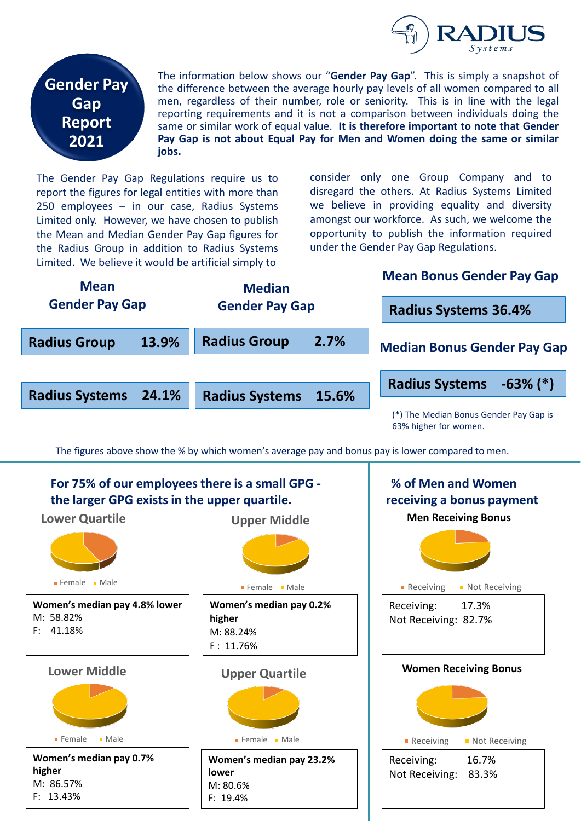



The information below shows our "**Gender Pay Gap**". This is simply a snapshot of the difference between the average hourly pay levels of all women compared to all men, regardless of their number, role or seniority. This is in line with the legal reporting requirements and it is not a comparison between individuals doing the same or similar work of equal value. **It is therefore important to note that Gender Pay Gap is not about Equal Pay for Men and Women doing the same or similar jobs.**

The Gender Pay Gap Regulations require us to report the figures for legal entities with more than 250 employees – in our case, Radius Systems Limited only. However, we have chosen to publish the Mean and Median Gender Pay Gap figures for the Radius Group in addition to Radius Systems Limited. We believe it would be artificial simply to

consider only one Group Company and to disregard the others. At Radius Systems Limited we believe in providing equality and diversity amongst our workforce. As such, we welcome the opportunity to publish the information required under the Gender Pay Gap Regulations.



The figures above show the % by which women's average pay and bonus pay is lower compared to men.